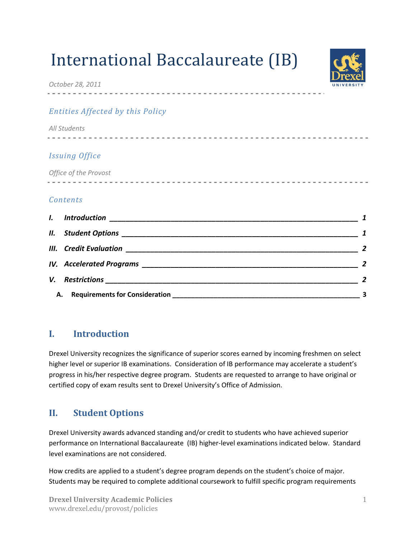# International Baccalaureate (IB)



*October 28, 2011*

## *Entities Affected by this Policy*

| All Students          |  |
|-----------------------|--|
|                       |  |
| <b>Issuing Office</b> |  |
| Office of the Provost |  |
|                       |  |
| Contents              |  |

| $\mathbf{l}$ . |                  |
|----------------|------------------|
|                |                  |
|                |                  |
|                |                  |
| V.             | $\boldsymbol{z}$ |
| А.             |                  |

# <span id="page-0-0"></span>**I. Introduction**

Drexel University recognizes the significance of superior scores earned by incoming freshmen on select higher level or superior IB examinations. Consideration of IB performance may accelerate a student's progress in his/her respective degree program. Students are requested to arrange to have original or certified copy of exam results sent to Drexel University's Office of Admission.

# <span id="page-0-1"></span>**II. Student Options**

Drexel University awards advanced standing and/or credit to students who have achieved superior performance on International Baccalaureate (IB) higher-level examinations indicated below. Standard level examinations are not considered.

How credits are applied to a student's degree program depends on the student's choice of major. Students may be required to complete additional coursework to fulfill specific program requirements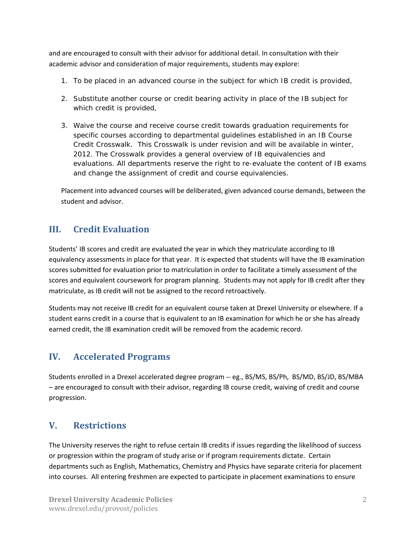and are encouraged to consult with their advisor for additional detail. In consultation with their academic advisor and consideration of major requirements, students may explore:

- 1. To be placed in an advanced course in the subject for which IB credit is provided,
- 2. Substitute another course or credit bearing activity in place of the IB subject for which credit is provided,
- 3. Waive the course and receive course credit towards graduation requirements for specific courses according to departmental guidelines established in an *IB Course Credit Crosswalk.* This Crosswalk is under revision and will be available in winter, 2012. The Crosswalk provides a general overview of IB equivalencies and evaluations. All departments reserve the right to re-evaluate the content of IB exams and change the assignment of credit and course equivalencies.

Placement into advanced courses will be deliberated, given advanced course demands, between the student and advisor.

## <span id="page-1-0"></span>**III. Credit Evaluation**

Students' IB scores and credit are evaluated the year in which they matriculate according to IB equivalency assessments in place for that year. It is expected that students will have the IB examination scores submitted for evaluation prior to matriculation in order to facilitate a timely assessment of the scores and equivalent coursework for program planning. Students may not apply for IB credit after they matriculate, as IB credit will not be assigned to the record retroactively.

Students may not receive IB credit for an equivalent course taken at Drexel University or elsewhere. If a student earns credit in a course that is equivalent to an IB examination for which he or she has already earned credit, the IB examination credit will be removed from the academic record.

#### <span id="page-1-1"></span>**IV. Accelerated Programs**

Students enrolled in a Drexel accelerated degree program -- eg., BS/MS, BS/Ph, BS/MD, BS/JD, BS/MBA – are encouraged to consult with their advisor, regarding IB course credit, waiving of credit and course progression.

## <span id="page-1-2"></span>**V. Restrictions**

The University reserves the right to refuse certain IB credits if issues regarding the likelihood of success or progression within the program of study arise or if program requirements dictate. Certain departments such as English, Mathematics, Chemistry and Physics have separate criteria for placement into courses. All entering freshmen are expected to participate in placement examinations to ensure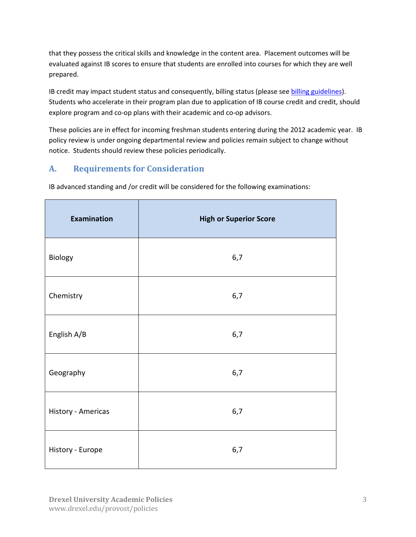that they possess the critical skills and knowledge in the content area. Placement outcomes will be evaluated against IB scores to ensure that students are enrolled into courses for which they are well prepared.

IB credit may impact student status and consequently, billing status (please se[e billing guidelines\)](http://www.drexel.edu/bursar/SFS_BillingInformation1112.html). Students who accelerate in their program plan due to application of IB course credit and credit, should explore program and co-op plans with their academic and co-op advisors.

These policies are in effect for incoming freshman students entering during the 2012 academic year. IB policy review is under ongoing departmental review and policies remain subject to change without notice. Students should review these policies periodically.

#### <span id="page-2-0"></span>**A. Requirements for Consideration**

IB advanced standing and /or credit will be considered for the following examinations:

| Examination        | <b>High or Superior Score</b> |
|--------------------|-------------------------------|
| Biology            | 6,7                           |
| Chemistry          | 6,7                           |
| English A/B        | 6,7                           |
| Geography          | 6,7                           |
| History - Americas | 6,7                           |
| History - Europe   | 6,7                           |